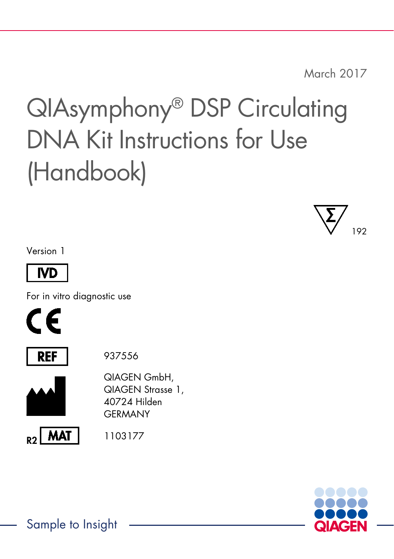March 2017

# QIAsymphony® DSP Circulating DNA Kit Instructions for Use (Handbook)



Version 1



For in vitro diagnostic use





937556



QIAGEN GmbH, QIAGEN Strasse 1, 40724 Hilden **GERMANY** 





Sample to Insight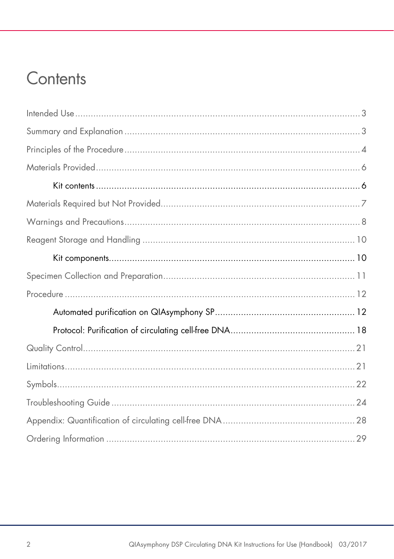### Contents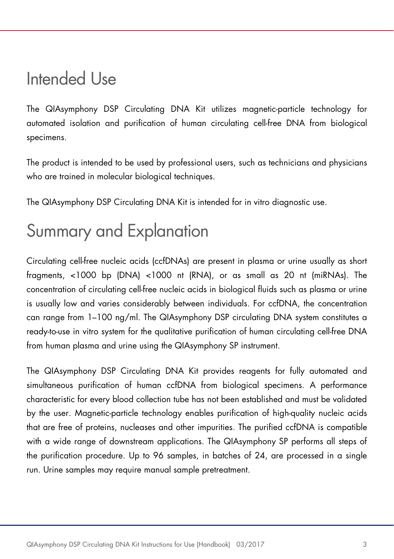### <span id="page-2-0"></span>Intended Use

The QIAsymphony DSP Circulating DNA Kit utilizes magnetic-particle technology for automated isolation and purification of human circulating cell-free DNA from biological specimens.

The product is intended to be used by professional users, such as technicians and physicians who are trained in molecular biological techniques.

The QIAsymphony DSP Circulating DNA Kit is intended for in vitro diagnostic use.

### <span id="page-2-1"></span>Summary and Explanation

Circulating cell-free nucleic acids (ccfDNAs) are present in plasma or urine usually as short fragments, <1000 bp (DNA) <1000 nt (RNA), or as small as 20 nt (miRNAs). The concentration of circulating cell-free nucleic acids in biological fluids such as plasma or urine is usually low and varies considerably between individuals. For ccfDNA, the concentration can range from 1–100 ng/ml. The QIAsymphony DSP circulating DNA system constitutes a ready-to-use in vitro system for the qualitative purification of human circulating cell-free DNA from human plasma and urine using the QIAsymphony SP instrument.

The QIAsymphony DSP Circulating DNA Kit provides reagents for fully automated and simultaneous purification of human ccfDNA from biological specimens. A performance characteristic for every blood collection tube has not been established and must be validated by the user. Magnetic-particle technology enables purification of high-quality nucleic acids that are free of proteins, nucleases and other impurities. The purified ccfDNA is compatible with a wide range of downstream applications. The QIAsymphony SP performs all steps of the purification procedure. Up to 96 samples, in batches of 24, are processed in a single run. Urine samples may require manual sample pretreatment.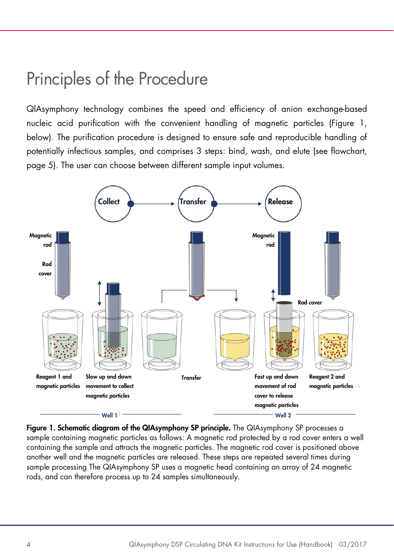### <span id="page-3-0"></span>Principles of the Procedure

QIAsymphony technology combines the speed and efficiency of anion exchange-based nucleic acid purification with the convenient handling of magnetic particles (Figure 1, below). The purification procedure is designed to ensure safe and reproducible handling of potentially infectious samples, and comprises 3 steps: bind, wash, and elute (see flowchart, page [5\)](#page-4-0). The user can choose between different sample input volumes.



Figure 1. Schematic diagram of the QIAsymphony SP principle. The QIAsymphony SP processes a sample containing magnetic particles as follows: A magnetic rod protected by a rod cover enters a well containing the sample and attracts the magnetic particles. The magnetic rod cover is positioned above another well and the magnetic particles are released. These steps are repeated several times during sample processing The QIAsymphony SP uses a magnetic head containing an array of 24 magnetic rods, and can therefore process up to 24 samples simultaneously.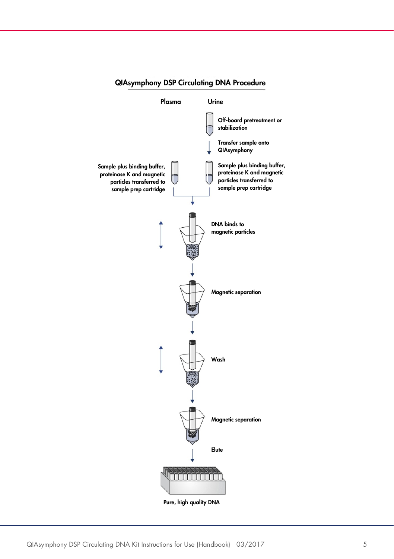

#### <span id="page-4-0"></span>QIAsymphony DSP Circulating DNA Procedure

Pure, high quality DNA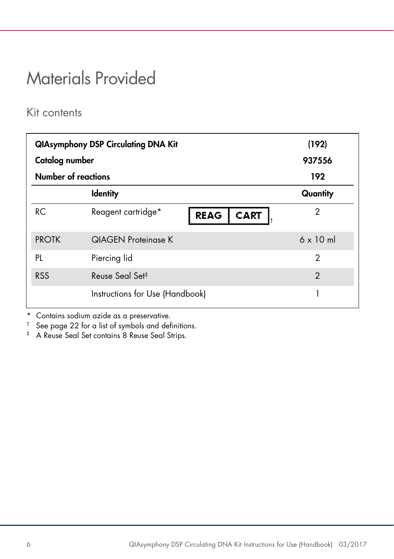### <span id="page-5-0"></span>Materials Provided

#### <span id="page-5-1"></span>Kit contents

| Catalog number             | <b>QIAsymphony DSP Circulating DNA Kit</b>       | (192)<br>937556  |
|----------------------------|--------------------------------------------------|------------------|
| <b>Number of reactions</b> |                                                  | 192              |
|                            | <b>Identity</b>                                  | Quantity         |
| <b>RC</b>                  | Reagent cartridge*<br><b>CART</b><br><b>REAG</b> | 2                |
| <b>PROTK</b>               | <b>QIAGEN Proteinase K</b>                       | $6 \times 10$ ml |
| PL                         | Piercing lid                                     | 2                |
| <b>RSS</b>                 | Reuse Seal Set <sup>‡</sup>                      | $\mathcal{P}$    |
|                            | Instructions for Use (Handbook)                  | 1                |

\* Contains sodium azide as a preservative.<br> $\frac{1}{1}$  See page 22 for a list of symbols and def

See page [22](#page-21-0) for a list of symbols and definitions.

‡ A Reuse Seal Set contains 8 Reuse Seal Strips.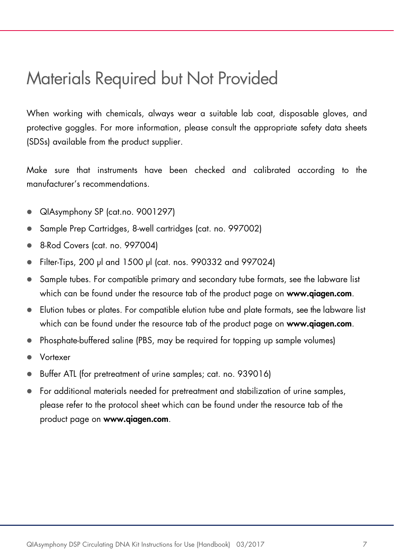### <span id="page-6-0"></span>Materials Required but Not Provided

When working with chemicals, always wear a suitable lab coat, disposable gloves, and protective goggles. For more information, please consult the appropriate safety data sheets (SDSs) available from the product supplier.

Make sure that instruments have been checked and calibrated according to the manufacturer's recommendations.

- QIAsymphony SP (cat.no. 9001297)
- Sample Prep Cartridges, 8-well cartridges (cat. no. 997002)
- 8-Rod Covers (cat. no. 997004)
- Filter-Tips, 200 µl and 1500 µl (cat. nos. 990332 and 997024)
- Sample tubes. For compatible primary and secondary tube formats, see the labware list which can be found under the resource tab of the product page on [www.qiagen.com](http://www.qiagen.com/).
- Elution tubes or plates. For compatible elution tube and plate formats, see the labware list which can be found under the resource tab of the product page on [www.qiagen.com](http://www.qiagen.com/).
- Phosphate-buffered saline (PBS, may be required for topping up sample volumes)
- Vortexer
- Buffer ATL (for pretreatment of urine samples; cat. no. 939016)
- For additional materials needed for pretreatment and stabilization of urine samples, please refer to the protocol sheet which can be found under the resource tab of the product page on [www.qiagen.com](http://www.qiagen.com/).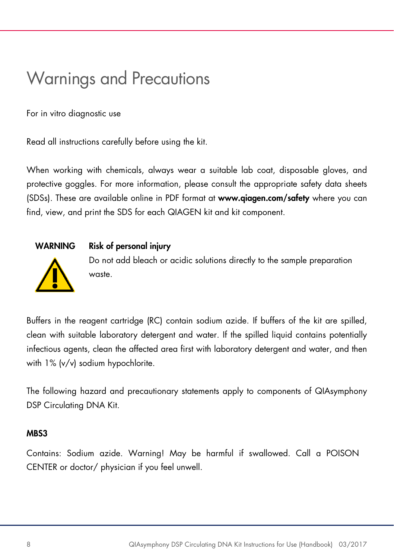### <span id="page-7-0"></span>Warnings and Precautions

For in vitro diagnostic use

Read all instructions carefully before using the kit.

When working with chemicals, always wear a suitable lab coat, disposable gloves, and protective goggles. For more information, please consult the appropriate safety data sheets (SDSs). These are available online in PDF format at www.qiagen.com/safety where you can find, view, and print the SDS for each QIAGEN kit and kit component.

#### WARNING Risk of personal injury



Do not add bleach or acidic solutions directly to the sample preparation waste.

Buffers in the reagent cartridge (RC) contain sodium azide. If buffers of the kit are spilled, clean with suitable laboratory detergent and water. If the spilled liquid contains potentially infectious agents, clean the affected area first with laboratory detergent and water, and then with 1% (v/v) sodium hypochlorite.

The following hazard and precautionary statements apply to components of QIAsymphony DSP Circulating DNA Kit.

#### MB<sub>S3</sub>

Contains: Sodium azide. Warning! May be harmful if swallowed. Call a POISON CENTER or doctor/ physician if you feel unwell.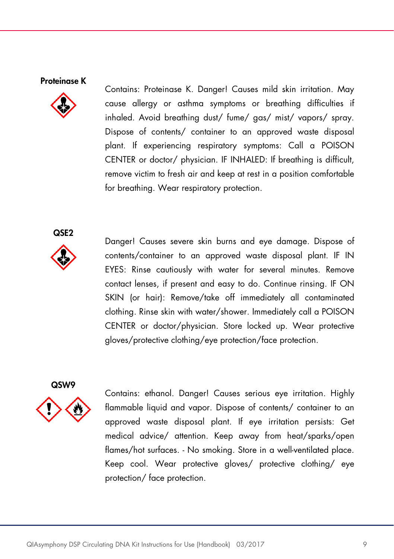#### Proteinase K



Contains: Proteinase K. Danger! Causes mild skin irritation. May cause allergy or asthma symptoms or breathing difficulties if inhaled. Avoid breathing dust/ fume/ gas/ mist/ vapors/ spray. Dispose of contents/ container to an approved waste disposal plant. If experiencing respiratory symptoms: Call a POISON CENTER or doctor/ physician. IF INHALED: If breathing is difficult, remove victim to fresh air and keep at rest in a position comfortable for breathing. Wear respiratory protection.

QSF<sub>2</sub>



Danger! Causes severe skin burns and eye damage. Dispose of contents/container to an approved waste disposal plant. IF IN EYES: Rinse cautiously with water for several minutes. Remove contact lenses, if present and easy to do. Continue rinsing. IF ON SKIN (or hair): Remove/take off immediately all contaminated clothing. Rinse skin with water/shower. Immediately call a POISON CENTER or doctor/physician. Store locked up. Wear protective gloves/protective clothing/eye protection/face protection.



Contains: ethanol. Danger! Causes serious eye irritation. Highly flammable liquid and vapor. Dispose of contents/ container to an approved waste disposal plant. If eye irritation persists: Get medical advice/ attention. Keep away from heat/sparks/open flames/hot surfaces. - No smoking. Store in a well-ventilated place. Keep cool. Wear protective gloves/ protective clothing/ eye protection/ face protection.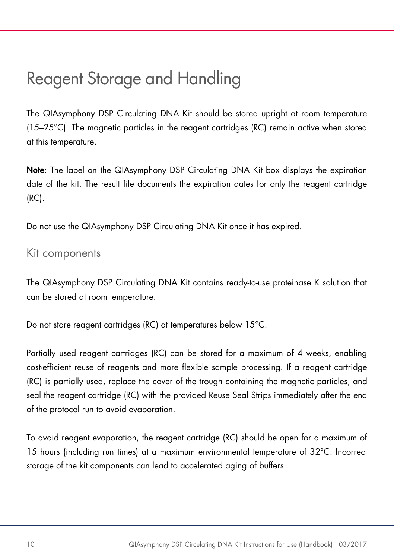### <span id="page-9-0"></span>Reagent Storage and Handling

The QIAsymphony DSP Circulating DNA Kit should be stored upright at room temperature (15–25°C). The magnetic particles in the reagent cartridges (RC) remain active when stored at this temperature.

Note: The label on the QIAsymphony DSP Circulating DNA Kit box displays the expiration date of the kit. The result file documents the expiration dates for only the reagent cartridge (RC).

Do not use the QIAsymphony DSP Circulating DNA Kit once it has expired.

#### <span id="page-9-1"></span>Kit components

The QIAsymphony DSP Circulating DNA Kit contains ready-to-use proteinase K solution that can be stored at room temperature.

Do not store reagent cartridges (RC) at temperatures below 15°C.

Partially used reagent cartridges (RC) can be stored for a maximum of 4 weeks, enabling cost-efficient reuse of reagents and more flexible sample processing. If a reagent cartridge (RC) is partially used, replace the cover of the trough containing the magnetic particles, and seal the reagent cartridge (RC) with the provided Reuse Seal Strips immediately after the end of the protocol run to avoid evaporation.

To avoid reagent evaporation, the reagent cartridge (RC) should be open for a maximum of 15 hours (including run times) at a maximum environmental temperature of 32°C. Incorrect storage of the kit components can lead to accelerated aging of buffers.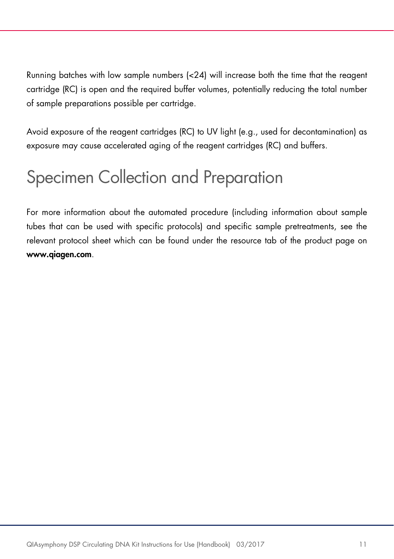Running batches with low sample numbers (<24) will increase both the time that the reagent cartridge (RC) is open and the required buffer volumes, potentially reducing the total number of sample preparations possible per cartridge.

Avoid exposure of the reagent cartridges (RC) to UV light (e.g., used for decontamination) as exposure may cause accelerated aging of the reagent cartridges (RC) and buffers.

### <span id="page-10-0"></span>Specimen Collection and Preparation

For more information about the automated procedure (including information about sample tubes that can be used with specific protocols) and specific sample pretreatments, see the relevant protocol sheet which can be found under the resource tab of the product page on www.qiagen.com.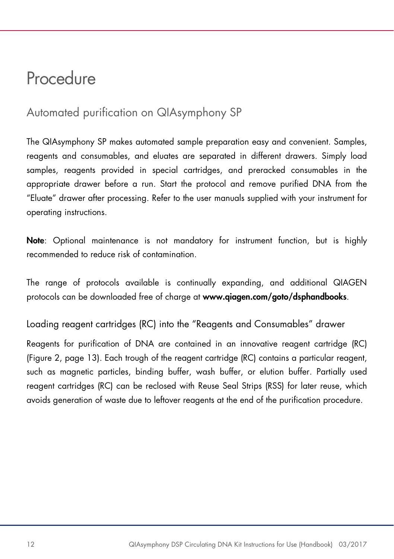### <span id="page-11-0"></span>**Procedure**

### <span id="page-11-1"></span>Automated purification on QIAsymphony SP

The QIAsymphony SP makes automated sample preparation easy and convenient. Samples, reagents and consumables, and eluates are separated in different drawers. Simply load samples, reagents provided in special cartridges, and preracked consumables in the appropriate drawer before a run. Start the protocol and remove purified DNA from the "Eluate" drawer after processing. Refer to the user manuals supplied with your instrument for operating instructions.

Note: Optional maintenance is not mandatory for instrument function, but is highly recommended to reduce risk of contamination.

The range of protocols available is continually expanding, and additional QIAGEN protocols can be downloaded free of charge at www.qiagen.com/goto/dsphandbooks.

Loading reagent cartridges (RC) into the "Reagents and Consumables" drawer

Reagents for purification of DNA are contained in an innovative reagent cartridge (RC) (Figure 2, page [13\)](#page-12-0). Each trough of the reagent cartridge (RC) contains a particular reagent, such as magnetic particles, binding buffer, wash buffer, or elution buffer. Partially used reagent cartridges (RC) can be reclosed with Reuse Seal Strips (RSS) for later reuse, which avoids generation of waste due to leftover reagents at the end of the purification procedure.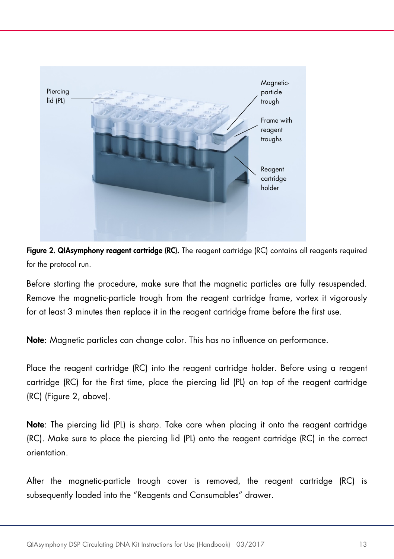

<span id="page-12-0"></span>Figure 2. QIAsymphony reagent cartridge (RC). The reagent cartridge (RC) contains all reagents required for the protocol run.

Before starting the procedure, make sure that the magnetic particles are fully resuspended. Remove the magnetic-particle trough from the reagent cartridge frame, vortex it vigorously for at least 3 minutes then replace it in the reagent cartridge frame before the first use.

Note: Magnetic particles can change color. This has no influence on performance.

Place the reagent cartridge (RC) into the reagent cartridge holder. Before using a reagent cartridge (RC) for the first time, place the piercing lid (PL) on top of the reagent cartridge (RC) (Figure 2, [above\)](#page-12-0).

Note: The piercing lid (PL) is sharp. Take care when placing it onto the reagent cartridge (RC). Make sure to place the piercing lid (PL) onto the reagent cartridge (RC) in the correct orientation.

After the magnetic-particle trough cover is removed, the reagent cartridge (RC) is subsequently loaded into the "Reagents and Consumables" drawer.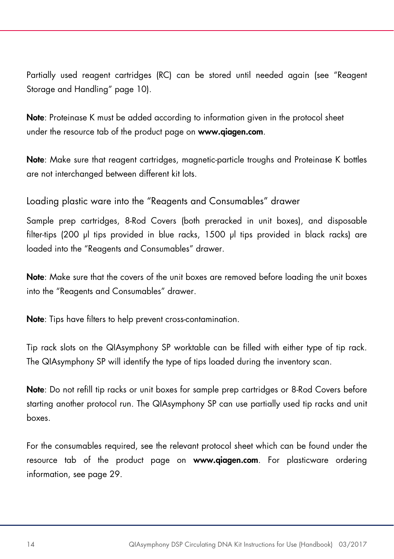Partially used reagent cartridges (RC) can be stored until needed again (see ["Reagent](#page-9-0)  [Storage and Handling"](#page-9-0) page [10\).](#page-9-0)

Note: Proteinase K must be added according to information given in the protocol sheet under the resource tab of the product page on www.qiagen.com.

Note: Make sure that reagent cartridges, magnetic-particle troughs and Proteinase K bottles are not interchanged between different kit lots.

Loading plastic ware into the "Reagents and Consumables" drawer

Sample prep cartridges, 8-Rod Covers (both preracked in unit boxes), and disposable filter-tips (200 µl tips provided in blue racks, 1500 µl tips provided in black racks) are loaded into the "Reagents and Consumables" drawer.

Note: Make sure that the covers of the unit boxes are removed before loading the unit boxes into the "Reagents and Consumables" drawer.

Note: Tips have filters to help prevent cross-contamination.

Tip rack slots on the QIAsymphony SP worktable can be filled with either type of tip rack. The QIAsymphony SP will identify the type of tips loaded during the inventory scan.

Note: Do not refill tip racks or unit boxes for sample prep cartridges or 8-Rod Covers before starting another protocol run. The QIAsymphony SP can use partially used tip racks and unit boxes.

For the consumables required, see the relevant protocol sheet which can be found under the resource tab of the product page on www.qiagen.com. For plasticware ordering information, see page [29.](#page-28-0)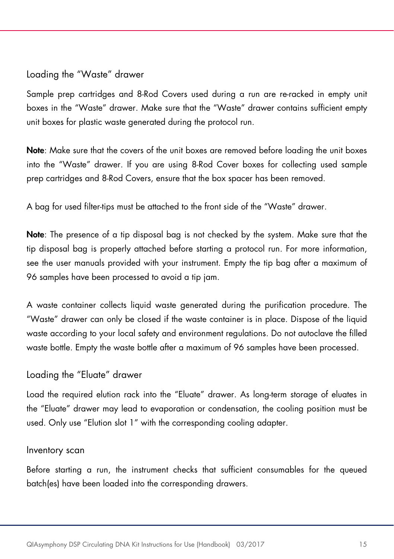#### Loading the "Waste" drawer

Sample prep cartridges and 8-Rod Covers used during a run are re-racked in empty unit boxes in the "Waste" drawer. Make sure that the "Waste" drawer contains sufficient empty unit boxes for plastic waste generated during the protocol run.

Note: Make sure that the covers of the unit boxes are removed before loading the unit boxes into the "Waste" drawer. If you are using 8-Rod Cover boxes for collecting used sample prep cartridges and 8-Rod Covers, ensure that the box spacer has been removed.

A bag for used filter-tips must be attached to the front side of the "Waste" drawer.

Note: The presence of a tip disposal bag is not checked by the system. Make sure that the tip disposal bag is properly attached before starting a protocol run. For more information, see the user manuals provided with your instrument. Empty the tip bag after a maximum of 96 samples have been processed to avoid a tip jam.

A waste container collects liquid waste generated during the purification procedure. The "Waste" drawer can only be closed if the waste container is in place. Dispose of the liquid waste according to your local safety and environment regulations. Do not autoclave the filled waste bottle. Empty the waste bottle after a maximum of 96 samples have been processed.

#### Loading the "Eluate" drawer

Load the required elution rack into the "Eluate" drawer. As long-term storage of eluates in the "Eluate" drawer may lead to evaporation or condensation, the cooling position must be used. Only use "Elution slot 1" with the corresponding cooling adapter.

#### Inventory scan

Before starting a run, the instrument checks that sufficient consumables for the aueued batch(es) have been loaded into the corresponding drawers.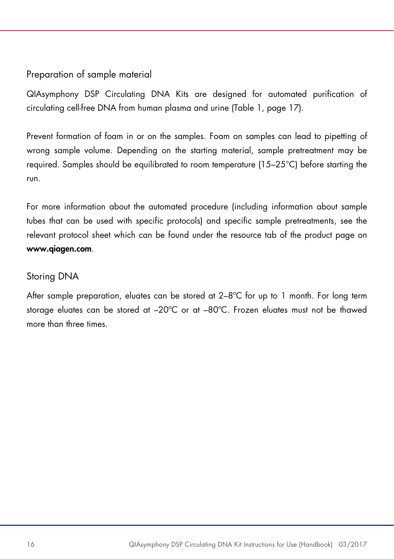#### Preparation of sample material

QIAsymphony DSP Circulating DNA Kits are designed for automated purification of circulating cell-free DNA from human plasma and urine (Table 1, page [17\)](#page-16-0).

Prevent formation of foam in or on the samples. Foam on samples can lead to pipetting of wrong sample volume. Depending on the starting material, sample pretreatment may be required. Samples should be equilibrated to room temperature (15–25°C) before starting the run.

For more information about the automated procedure (including information about sample tubes that can be used with specific protocols) and specific sample pretreatments, see the relevant protocol sheet which can be found under the resource tab of the product page on www.qiagen.com.

#### Storing DNA

After sample preparation, eluates can be stored at  $2-8^{\circ}C$  for up to 1 month. For long term storage eluates can be stored at –20ºC or at –80ºC. Frozen eluates must not be thawed more than three times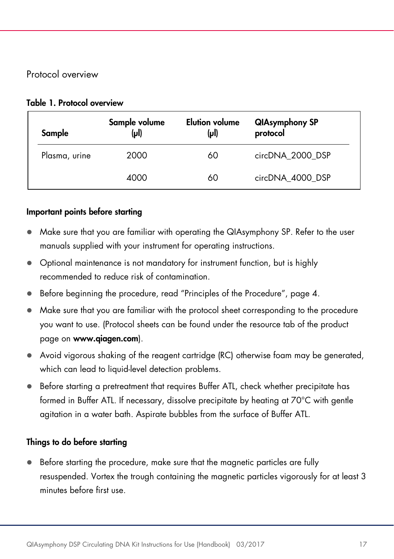#### Protocol overview

#### <span id="page-16-0"></span>Table 1. Protocol overview

| Sample        | Sample volume<br>$(\mu$ l) | <b>Elution volume</b><br>$(\mu$ | <b>QIAsymphony SP</b><br>protocol |
|---------------|----------------------------|---------------------------------|-----------------------------------|
| Plasma, urine | 2000                       | 60                              | circDNA_2000_DSP                  |
|               | 4000                       | 60                              | circDNA_4000_DSP                  |

#### Important points before starting

- Make sure that you are familiar with operating the QIAsymphony SP. Refer to the user manuals supplied with your instrument for operating instructions.
- Optional maintenance is not mandatory for instrument function, but is highly recommended to reduce risk of contamination.
- Before beginning the procedure, read ["Principles of the Procedure"](#page-3-0), page [4.](#page-3-0)
- Make sure that you are familiar with the protocol sheet corresponding to the procedure you want to use. (Protocol sheets can be found under the resource tab of the product page on [www.qiagen.com](http://www.qiagen.com/)).
- Avoid vigorous shaking of the reagent cartridge (RC) otherwise foam may be generated, which can lead to liquid-level detection problems.
- Before starting a pretreatment that requires Buffer ATL, check whether precipitate has formed in Buffer ATL. If necessary, dissolve precipitate by heating at 70°C with gentle agitation in a water bath. Aspirate bubbles from the surface of Buffer ATL.

#### Things to do before starting

 Before starting the procedure, make sure that the magnetic particles are fully resuspended. Vortex the trough containing the magnetic particles vigorously for at least 3 minutes before first use.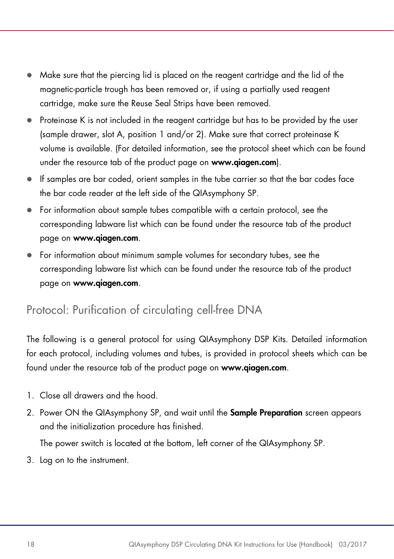- Make sure that the piercing lid is placed on the reagent cartridge and the lid of the magnetic-particle trough has been removed or, if using a partially used reagent cartridge, make sure the Reuse Seal Strips have been removed.
- Proteinase K is not included in the reagent cartridge but has to be provided by the user (sample drawer, slot A, position 1 and/or 2). Make sure that correct proteinase K volume is available. (For detailed information, see the protocol sheet which can be found under the resource tab of the product page on www.qiagen.com).
- If samples are bar coded, orient samples in the tube carrier so that the bar codes face the bar code reader at the left side of the QIAsymphony SP.
- For information about sample tubes compatible with a certain protocol, see the corresponding labware list which can be found under the resource tab of the product page on [www.qiagen.com](http://www.qiagen.com/).
- For information about minimum sample volumes for secondary tubes, see the corresponding labware list which can be found under the resource tab of the product page on www.qiagen.com.

### <span id="page-17-0"></span>Protocol: Purification of circulating cell-free DNA

The following is a general protocol for using QIAsymphony DSP Kits. Detailed information for each protocol, including volumes and tubes, is provided in protocol sheets which can be found under the resource tab of the product page on [www.qiagen.com](http://www.qiagen.com/).

- 1. Close all drawers and the hood.
- 2. Power ON the QIAsymphony SP, and wait until the **Sample Preparation** screen appears and the initialization procedure has finished.

The power switch is located at the bottom, left corner of the QIAsymphony SP.

3. Log on to the instrument.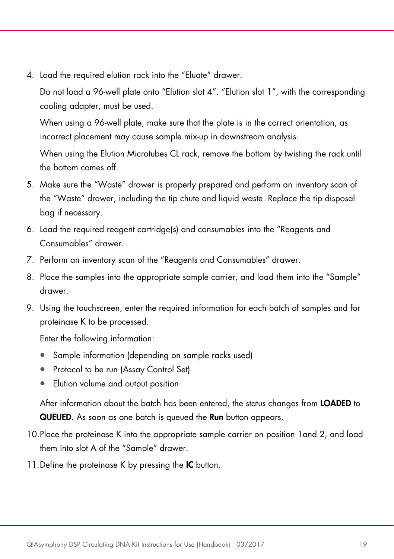4. Load the required elution rack into the "Eluate" drawer.

Do not load a 96-well plate onto "Elution slot 4". "Elution slot 1", with the corresponding cooling adapter, must be used.

When using a 96-well plate, make sure that the plate is in the correct orientation, as incorrect placement may cause sample mix-up in downstream analysis.

When using the Elution Microtubes CL rack, remove the bottom by twisting the rack until the bottom comes off.

- 5. Make sure the "Waste" drawer is properly prepared and perform an inventory scan of the "Waste" drawer, including the tip chute and liquid waste. Replace the tip disposal bag if necessary.
- 6. Load the required reagent cartridge(s) and consumables into the "Reagents and Consumables" drawer.
- 7. Perform an inventory scan of the "Reagents and Consumables" drawer.
- 8. Place the samples into the appropriate sample carrier, and load them into the "Sample" drawer.
- 9. Using the touchscreen, enter the required information for each batch of samples and for proteinase K to be processed.

Enter the following information:

- Sample information (depending on sample racks used)
- Protocol to be run (Assay Control Set)
- Elution volume and output position

After information about the batch has been entered, the status changes from LOADED to QUEUED. As soon as one batch is queued the Run button appears.

- 10.Place the proteinase K into the appropriate sample carrier on position 1and 2, and load them into slot A of the "Sample" drawer.
- 11. Define the proteinase K by pressing the IC button.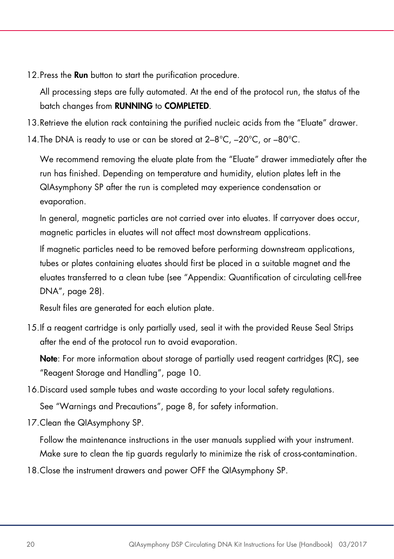12. Press the **Run** button to start the purification procedure.

All processing steps are fully automated. At the end of the protocol run, the status of the batch changes from RUNNING to COMPLETED.

- 13.Retrieve the elution rack containing the purified nucleic acids from the "Eluate" drawer.
- 14.The DNA is ready to use or can be stored at 2–8°C, –20°C, or –80°C.

We recommend removing the eluate plate from the "Eluate" drawer immediately after the run has finished. Depending on temperature and humidity, elution plates left in the QIAsymphony SP after the run is completed may experience condensation or evaporation.

In general, magnetic particles are not carried over into eluates. If carryover does occur, magnetic particles in eluates will not affect most downstream applications.

If magnetic particles need to be removed before performing downstream applications, tubes or plates containing eluates should first be placed in a suitable magnet and the eluates transferred to a clean tube (see ["Appendix: Quantification of circulating cell-free](#page-27-0)  [DNA"](#page-27-0), page [28\)](#page-27-0).

Result files are generated for each elution plate.

15.If a reagent cartridge is only partially used, seal it with the provided Reuse Seal Strips after the end of the protocol run to avoid evaporation.

Note: For more information about storage of partially used reagent cartridges (RC), see ["Reagent Storage and Handling"](#page-9-0), page [10.](#page-9-0)

16.Discard used sample tubes and waste according to your local safety regulations.

See ["Warnings and Precautions"](#page-7-0), page [8,](#page-7-0) for safety information.

17.Clean the QIAsymphony SP.

Follow the maintenance instructions in the user manuals supplied with your instrument. Make sure to clean the tip guards regularly to minimize the risk of cross-contamination.

18.Close the instrument drawers and power OFF the QIAsymphony SP.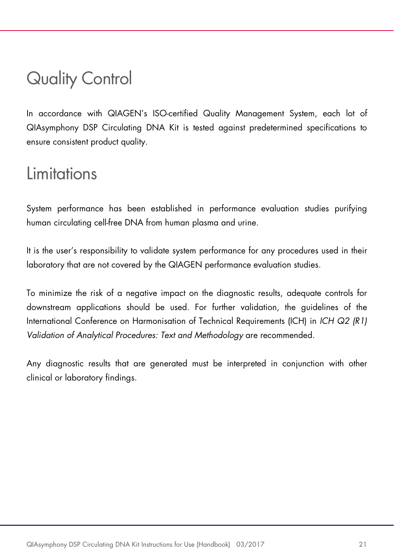### <span id="page-20-0"></span>Quality Control

In accordance with QIAGEN's ISO-certified Quality Management System, each lot of QIAsymphony DSP Circulating DNA Kit is tested against predetermined specifications to ensure consistent product quality.

### <span id="page-20-1"></span>Limitations

System performance has been established in performance evaluation studies purifying human circulating cell-free DNA from human plasma and urine.

It is the user's responsibility to validate system performance for any procedures used in their laboratory that are not covered by the QIAGEN performance evaluation studies.

To minimize the risk of a negative impact on the diagnostic results, adequate controls for downstream applications should be used. For further validation, the guidelines of the International Conference on Harmonisation of Technical Requirements (ICH) in *ICH Q2 (R1) Validation of Analytical Procedures: Text and Methodology* are recommended.

Any diagnostic results that are generated must be interpreted in conjunction with other clinical or laboratory findings.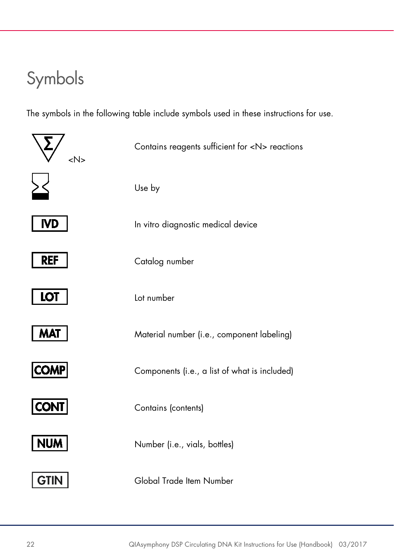### <span id="page-21-0"></span>Symbols

The symbols in the following table include symbols used in these instructions for use.

| <n></n>     | Contains reagents sufficient for <n> reactions</n> |
|-------------|----------------------------------------------------|
|             | Use by                                             |
| <b>IVD</b>  | In vitro diagnostic medical device                 |
| <b>REF</b>  | Catalog number                                     |
| <b>LOT</b>  | Lot number                                         |
| <b>MAT</b>  | Material number (i.e., component labeling)         |
| <b>COMP</b> | Components (i.e., a list of what is included)      |
| <b>CONT</b> | Contains (contents)                                |
| <b>NUM</b>  | Number (i.e., vials, bottles)                      |
|             | Global Trade Item Number                           |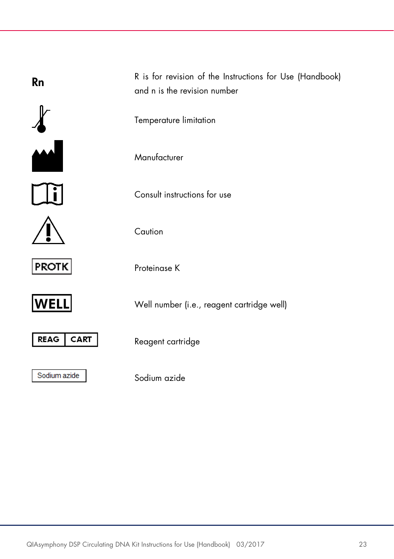| <b>Rn</b>                  | R is for revision of the Instructions for Use (Handbook)<br>and n is the revision number |
|----------------------------|------------------------------------------------------------------------------------------|
|                            | Temperature limitation                                                                   |
|                            | Manufacturer                                                                             |
|                            | Consult instructions for use                                                             |
|                            | Caution                                                                                  |
| <b>PROTK</b>               | Proteinase K                                                                             |
| WELL                       | Well number (i.e., reagent cartridge well)                                               |
| <b>REAG</b><br><b>CART</b> | Reagent cartridge                                                                        |
| Sodium azide               | Sodium azide                                                                             |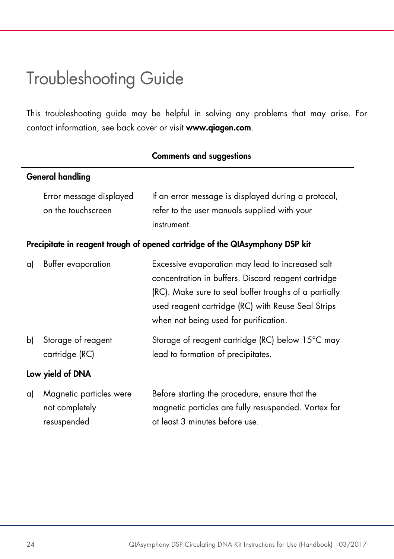### <span id="page-23-0"></span>Troubleshooting Guide

This troubleshooting guide may be helpful in solving any problems that may arise. For contact information, see back cover or visit [www.qiagen.com](http://www.qiagen.com/).

| <b>General handling</b> |                                               |                                                                                                                                                                                                                                                                 |  |
|-------------------------|-----------------------------------------------|-----------------------------------------------------------------------------------------------------------------------------------------------------------------------------------------------------------------------------------------------------------------|--|
|                         | Error message displayed<br>on the touchscreen | If an error message is displayed during a protocol,<br>refer to the user manuals supplied with your<br>instrument.                                                                                                                                              |  |
|                         |                                               | Precipitate in reagent trough of opened cartridge of the QIAsymphony DSP kit                                                                                                                                                                                    |  |
| a)                      | Buffer evaporation                            | Excessive evaporation may lead to increased salt<br>concentration in buffers. Discard reagent cartridge<br>(RC). Make sure to seal buffer troughs of a partially<br>used reagent cartridge (RC) with Reuse Seal Strips<br>when not being used for purification. |  |
| b)                      | Storage of reagent<br>cartridge (RC)          | Storage of reagent cartridge (RC) below 15°C may<br>lead to formation of precipitates.                                                                                                                                                                          |  |
| Low yield of DNA        |                                               |                                                                                                                                                                                                                                                                 |  |
| a)                      | Magnetic particles were<br>not completely     | Before starting the procedure, ensure that the<br>magnetic particles are fully resuspended. Vortex for                                                                                                                                                          |  |

at least 3 minutes before use.

#### Comments and suggestions

resuspended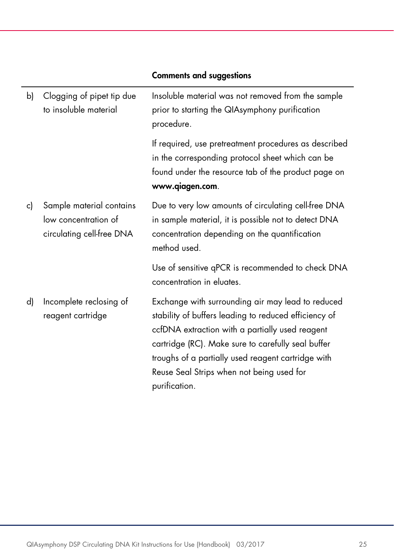| b) | Clogging of pipet tip due<br>to insoluble material                            | Insoluble material was not removed from the sample<br>prior to starting the QIAsymphony purification<br>procedure.                                                                                                                                                                                                                      |
|----|-------------------------------------------------------------------------------|-----------------------------------------------------------------------------------------------------------------------------------------------------------------------------------------------------------------------------------------------------------------------------------------------------------------------------------------|
|    |                                                                               | If required, use pretreatment procedures as described<br>in the corresponding protocol sheet which can be<br>found under the resource tab of the product page on<br>www.qiagen.com.                                                                                                                                                     |
| c) | Sample material contains<br>low concentration of<br>circulating cell-free DNA | Due to very low amounts of circulating cell-free DNA<br>in sample material, it is possible not to detect DNA<br>concentration depending on the quantification<br>method used.                                                                                                                                                           |
|    |                                                                               | Use of sensitive qPCR is recommended to check DNA<br>concentration in eluates.                                                                                                                                                                                                                                                          |
| d) | Incomplete reclosing of<br>reagent cartridge                                  | Exchange with surrounding air may lead to reduced<br>stability of buffers leading to reduced efficiency of<br>ccfDNA extraction with a partially used reagent<br>cartridge (RC). Make sure to carefully seal buffer<br>troughs of a partially used reagent cartridge with<br>Reuse Seal Strips when not being used for<br>purification. |

#### Comments and suggestions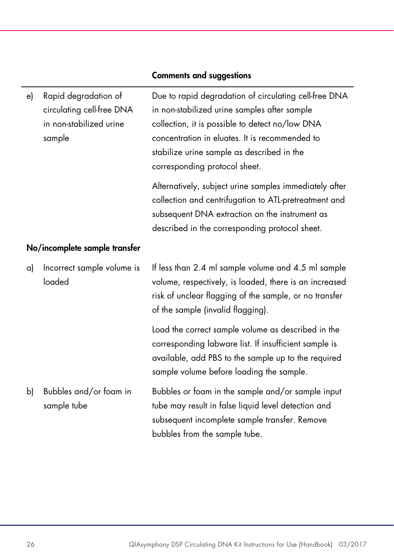| e)                            | Rapid degradation of<br>circulating cell-free DNA<br>in non-stabilized urine<br>sample | Due to rapid degradation of circulating cell-free DNA<br>in non-stabilized urine samples after sample<br>collection, it is possible to detect no/low DNA<br>concentration in eluates. It is recommended to<br>stabilize urine sample as described in the<br>corresponding protocol sheet. |
|-------------------------------|----------------------------------------------------------------------------------------|-------------------------------------------------------------------------------------------------------------------------------------------------------------------------------------------------------------------------------------------------------------------------------------------|
|                               |                                                                                        | Alternatively, subject urine samples immediately after<br>collection and centrifugation to ATL-pretreatment and<br>subsequent DNA extraction on the instrument as<br>described in the corresponding protocol sheet.                                                                       |
| No/incomplete sample transfer |                                                                                        |                                                                                                                                                                                                                                                                                           |
| a)                            | Incorrect sample volume is<br>loaded                                                   | If less than 2.4 ml sample volume and 4.5 ml sample<br>volume, respectively, is loaded, there is an increased<br>risk of unclear flagging of the sample, or no transfer<br>of the sample (invalid flagging).                                                                              |
|                               |                                                                                        | Load the correct sample volume as described in the<br>corresponding labware list. If insufficient sample is<br>available, add PBS to the sample up to the required<br>sample volume before loading the sample.                                                                            |
| b)                            | Bubbles and/or foam in<br>sample tube                                                  | Bubbles or foam in the sample and/or sample input<br>tube may result in false liquid level detection and<br>subsequent incomplete sample transfer. Remove<br>bubbles from the sample tube.                                                                                                |

#### Comments and suggestions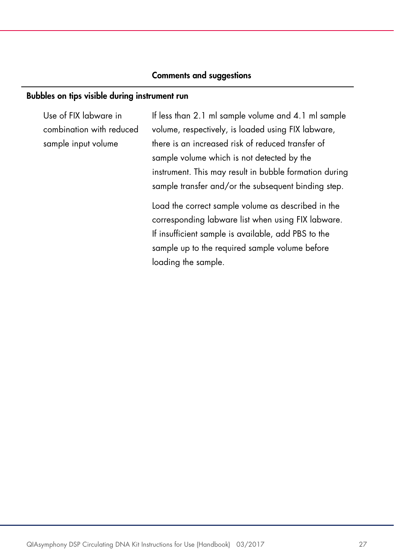#### Comments and suggestions

#### Bubbles on tips visible during instrument run

Use of FIX labware in combination with reduced sample input volume

If less than 2.1 ml sample volume and 4.1 ml sample volume, respectively, is loaded using FIX labware, there is an increased risk of reduced transfer of sample volume which is not detected by the instrument. This may result in bubble formation during sample transfer and/or the subsequent binding step.

Load the correct sample volume as described in the corresponding labware list when using FIX labware. If insufficient sample is available, add PBS to the sample up to the required sample volume before loading the sample.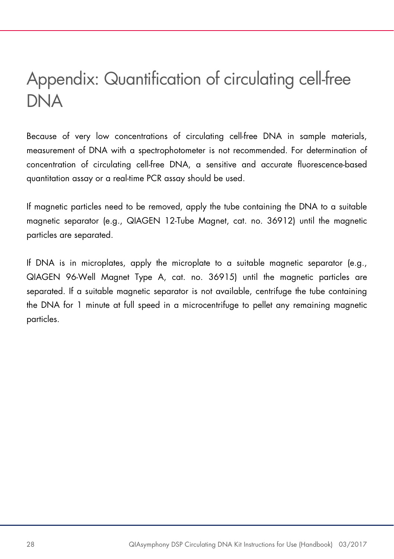### <span id="page-27-0"></span>Appendix: Quantification of circulating cell-free DNA

Because of very low concentrations of circulating cell-free DNA in sample materials, measurement of DNA with a spectrophotometer is not recommended. For determination of concentration of circulating cell-free DNA, a sensitive and accurate fluorescence-based quantitation assay or a real-time PCR assay should be used.

If magnetic particles need to be removed, apply the tube containing the DNA to a suitable magnetic separator (e.g., QIAGEN 12-Tube Magnet, cat. no. 36912) until the magnetic particles are separated.

If DNA is in microplates, apply the microplate to a suitable magnetic separator (e.g., QIAGEN 96-Well Magnet Type A, cat. no. 36915) until the magnetic particles are separated. If a suitable magnetic separator is not available, centrifuge the tube containing the DNA for 1 minute at full speed in a microcentrifuge to pellet any remaining magnetic particles.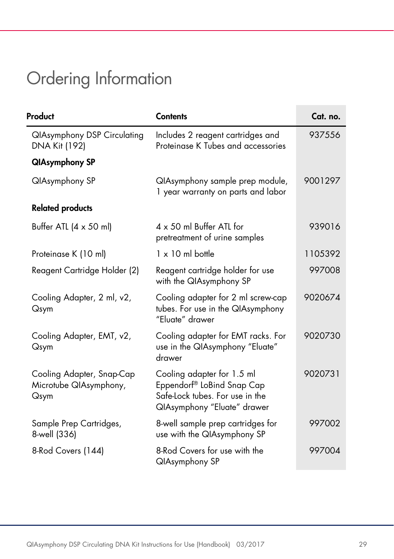## <span id="page-28-0"></span>Ordering Information

| Product                                                     | <b>Contents</b>                                                                                                            | Cat. no. |
|-------------------------------------------------------------|----------------------------------------------------------------------------------------------------------------------------|----------|
| <b>QIAsymphony DSP Circulating</b><br>DNA Kit (192)         | Includes 2 reagent cartridges and<br>Proteinase K Tubes and accessories                                                    | 937556   |
| <b>QIAsymphony SP</b>                                       |                                                                                                                            |          |
| <b>QIAsymphony SP</b>                                       | QIAsymphony sample prep module,<br>1 year warranty on parts and labor                                                      | 9001297  |
| <b>Related products</b>                                     |                                                                                                                            |          |
| Buffer ATL $(4 \times 50 \text{ ml})$                       | $4 \times 50$ ml Buffer ATL for<br>pretreatment of urine samples                                                           | 939016   |
| Proteinase K (10 ml)                                        | $1 \times 10$ ml bottle                                                                                                    | 1105392  |
| Reagent Cartridge Holder (2)                                | Reagent cartridge holder for use<br>with the QIAsymphony SP                                                                | 997008   |
| Cooling Adapter, 2 ml, v2,<br>Qsym                          | Cooling adapter for 2 ml screw-cap<br>tubes. For use in the QIAsymphony<br>"Fluate" drawer                                 | 9020674  |
| Cooling Adapter, EMT, v2,<br>Qsym                           | Cooling adapter for EMT racks. For<br>use in the QIAsymphony "Eluate"<br>drawer                                            | 9020730  |
| Cooling Adapter, Snap-Cap<br>Microtube QIAsymphony,<br>Qsym | Cooling adapter for 1.5 ml<br>Eppendorf® LoBind Snap Cap<br>Safe-Lock tubes. For use in the<br>QIAsymphony "Eluate" drawer | 9020731  |
| Sample Prep Cartridges,<br>8-well (336)                     | 8-well sample prep cartridges for<br>use with the QIAsymphony SP                                                           | 997002   |
| 8-Rod Covers (144)                                          | 8-Rod Covers for use with the<br>QIAsymphony SP                                                                            | 997004   |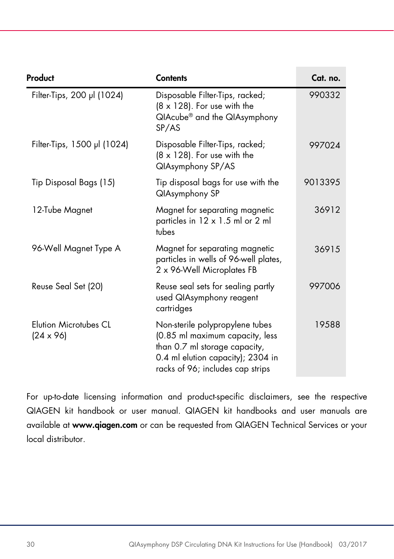| Product                                          | <b>Contents</b>                                                                                                                                                              | Cat. no. |
|--------------------------------------------------|------------------------------------------------------------------------------------------------------------------------------------------------------------------------------|----------|
| Filter-Tips, 200 µl (1024)                       | Disposable Filter-Tips, racked;<br>$(8 \times 128)$ . For use with the<br>QIAcube® and the QIAsymphony<br>SP/AS                                                              | 990332   |
| Filter-Tips, 1500 µl (1024)                      | Disposable Filter-Tips, racked;<br>$(8 \times 128)$ . For use with the<br>QIAsymphony SP/AS                                                                                  | 997024   |
| Tip Disposal Bags (15)                           | Tip disposal bags for use with the<br><b>QIAsymphony SP</b>                                                                                                                  | 9013395  |
| 12-Tube Magnet                                   | Magnet for separating magnetic<br>particles in 12 x 1.5 ml or 2 ml<br>tubes                                                                                                  | 36912    |
| 96-Well Magnet Type A                            | Magnet for separating magnetic<br>particles in wells of 96-well plates,<br>2 x 96-Well Microplates FB                                                                        | 36915    |
| Reuse Seal Set (20)                              | Reuse seal sets for sealing partly<br>used QIAsymphony reagent<br>cartridges                                                                                                 | 997006   |
| <b>Elution Microtubes CL</b><br>$(24 \times 96)$ | Non-sterile polypropylene tubes<br>(0.85 ml maximum capacity, less<br>than 0.7 ml storage capacity,<br>0.4 ml elution capacity); 2304 in<br>racks of 96; includes cap strips | 19588    |

For up-to-date licensing information and product-specific disclaimers, see the respective QIAGEN kit handbook or user manual. QIAGEN kit handbooks and user manuals are available at www.qiagen.com or can be requested from QIAGEN Technical Services or your local distributor.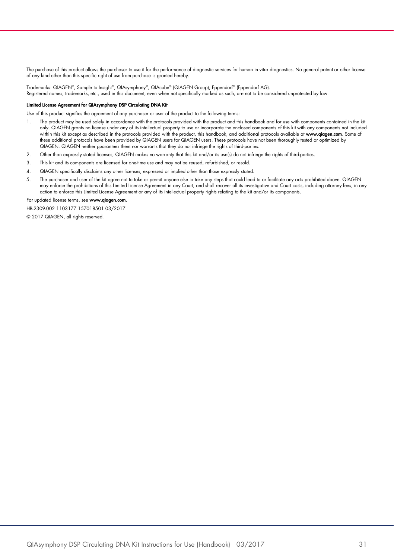The purchase of this product allows the purchaser to use it for the performance of diagnostic services for human in vitro diagnostics. No general patent or other license of any kind other than this specific right of use from purchase is granted hereby.

Trademarks: QIAGEN®, Sample to Insight®, QIAsymphony®, QIAcube® (QIAGEN Group); Eppendorf® (Eppendorf AG). Registered names, trademarks, etc., used in this document, even when not specifically marked as such, are not to be considered unprotected by law.

#### Limited License Agreement for QIAsymphony DSP Circulating DNA Kit

Use of this product signifies the agreement of any purchaser or user of the product to the following terms:

- 1. The product may be used solely in accordance with the protocols provided with the product and this handbook and for use with components contained in the kit only. QIAGEN grants no license under any of its intellectual property to use or incorporate the enclosed components of this kit with any components not included within this kit except as described in the protocols provided with the product, this handbook, and additional protocols available at www.qiagen.com. Some of these additional protocols have been provided by QIAGEN users for QIAGEN users. These protocols have not been thoroughly tested or optimized by QIAGEN. QIAGEN neither guarantees them nor warrants that they do not infringe the rights of third-parties.
- 2. Other than expressly stated licenses, QIAGEN makes no warranty that this kit and/or its use(s) do not infringe the rights of third-parties.
- 3. This kit and its components are licensed for one-time use and may not be reused, refurbished, or resold.
- 4. QIAGEN specifically disclaims any other licenses, expressed or implied other than those expressly stated.
- 5. The purchaser and user of the kit agree not to take or permit anyone else to take any steps that could lead to or tacilitate any acts prohibited above. QIAGEN<br>may enforce the prohibitions of this Limited License Agreeme action to enforce this Limited License Agreement or any of its intellectual property rights relating to the kit and/or its components.

For updated license terms, see [www.qiagen.com](http://www.qiagen.com/).

HB-2309-002 1103177 157018501 03/2017

© 2017 QIAGEN, all rights reserved.